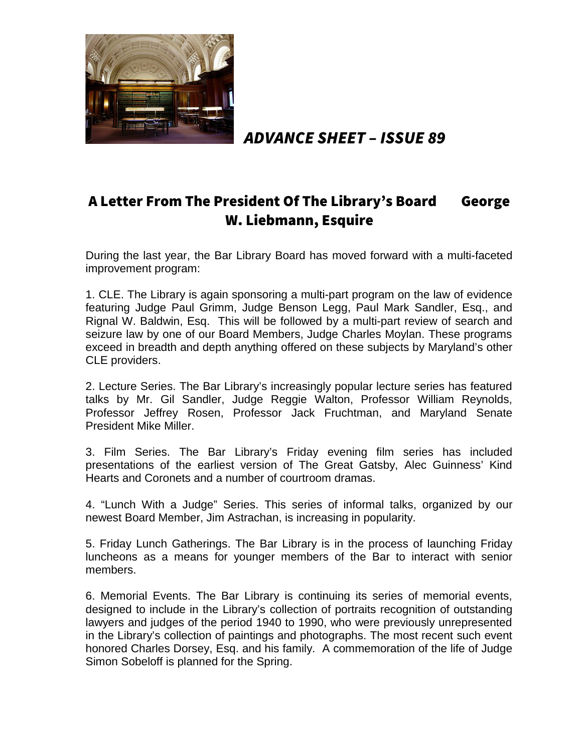

ADVANCE SHEET – ISSUE 89

# A Letter From The President Of The Library's Board George W. Liebmann, Esquire

During the last year, the Bar Library Board has moved forward with a multi-faceted improvement program:

1. CLE. The Library is again sponsoring a multi-part program on the law of evidence featuring Judge Paul Grimm, Judge Benson Legg, Paul Mark Sandler, Esq., and Rignal W. Baldwin, Esq. This will be followed by a multi-part review of search and seizure law by one of our Board Members, Judge Charles Moylan. These programs exceed in breadth and depth anything offered on these subjects by Maryland's other CLE providers.

2. Lecture Series. The Bar Library's increasingly popular lecture series has featured talks by Mr. Gil Sandler, Judge Reggie Walton, Professor William Reynolds, Professor Jeffrey Rosen, Professor Jack Fruchtman, and Maryland Senate President Mike Miller.

3. Film Series. The Bar Library's Friday evening film series has included presentations of the earliest version of The Great Gatsby, Alec Guinness' Kind Hearts and Coronets and a number of courtroom dramas.

4. "Lunch With a Judge" Series. This series of informal talks, organized by our newest Board Member, Jim Astrachan, is increasing in popularity.

5. Friday Lunch Gatherings. The Bar Library is in the process of launching Friday luncheons as a means for younger members of the Bar to interact with senior members.

6. Memorial Events. The Bar Library is continuing its series of memorial events, designed to include in the Library's collection of portraits recognition of outstanding lawyers and judges of the period 1940 to 1990, who were previously unrepresented in the Library's collection of paintings and photographs. The most recent such event honored Charles Dorsey, Esq. and his family. A commemoration of the life of Judge Simon Sobeloff is planned for the Spring.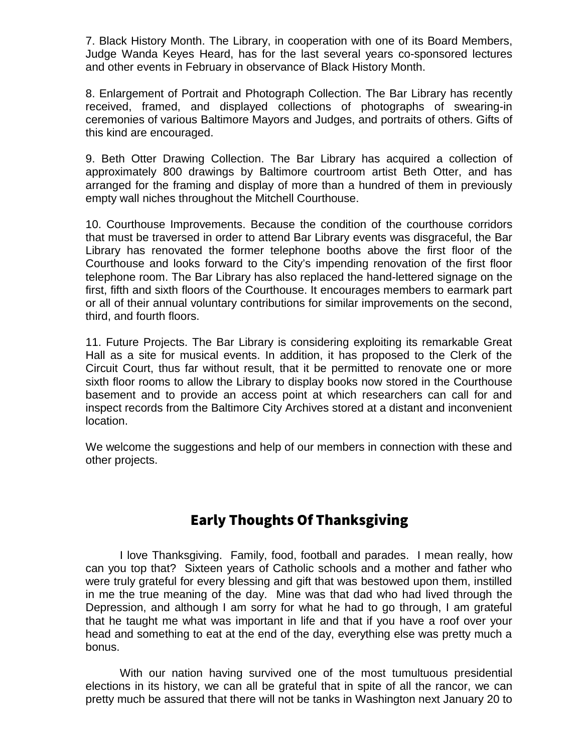7. Black History Month. The Library, in cooperation with one of its Board Members, Judge Wanda Keyes Heard, has for the last several years co-sponsored lectures and other events in February in observance of Black History Month.

8. Enlargement of Portrait and Photograph Collection. The Bar Library has recently received, framed, and displayed collections of photographs of swearing-in ceremonies of various Baltimore Mayors and Judges, and portraits of others. Gifts of this kind are encouraged.

9. Beth Otter Drawing Collection. The Bar Library has acquired a collection of approximately 800 drawings by Baltimore courtroom artist Beth Otter, and has arranged for the framing and display of more than a hundred of them in previously empty wall niches throughout the Mitchell Courthouse.

10. Courthouse Improvements. Because the condition of the courthouse corridors that must be traversed in order to attend Bar Library events was disgraceful, the Bar Library has renovated the former telephone booths above the first floor of the Courthouse and looks forward to the City's impending renovation of the first floor telephone room. The Bar Library has also replaced the hand-lettered signage on the first, fifth and sixth floors of the Courthouse. It encourages members to earmark part or all of their annual voluntary contributions for similar improvements on the second, third, and fourth floors.

11. Future Projects. The Bar Library is considering exploiting its remarkable Great Hall as a site for musical events. In addition, it has proposed to the Clerk of the Circuit Court, thus far without result, that it be permitted to renovate one or more sixth floor rooms to allow the Library to display books now stored in the Courthouse basement and to provide an access point at which researchers can call for and inspect records from the Baltimore City Archives stored at a distant and inconvenient location.

We welcome the suggestions and help of our members in connection with these and other projects.

# Early Thoughts Of Thanksgiving

I love Thanksgiving. Family, food, football and parades. I mean really, how can you top that? Sixteen years of Catholic schools and a mother and father who were truly grateful for every blessing and gift that was bestowed upon them, instilled in me the true meaning of the day. Mine was that dad who had lived through the Depression, and although I am sorry for what he had to go through, I am grateful that he taught me what was important in life and that if you have a roof over your head and something to eat at the end of the day, everything else was pretty much a bonus.

With our nation having survived one of the most tumultuous presidential elections in its history, we can all be grateful that in spite of all the rancor, we can pretty much be assured that there will not be tanks in Washington next January 20 to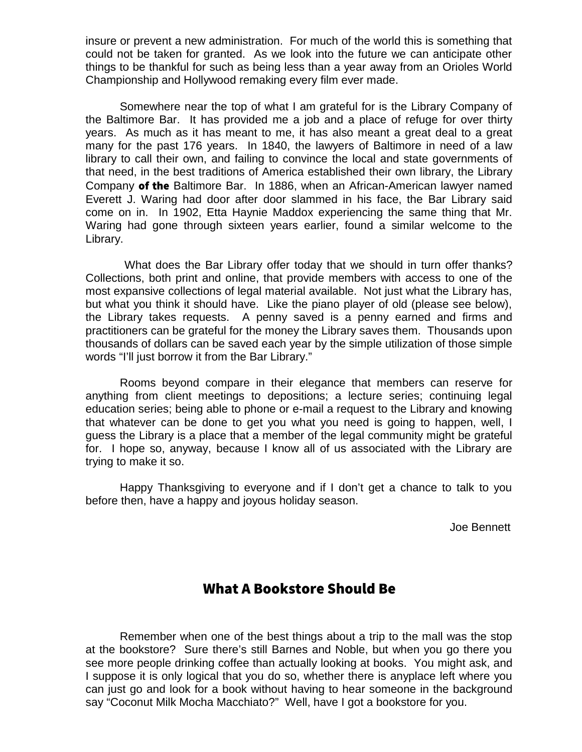insure or prevent a new administration. For much of the world this is something that could not be taken for granted. As we look into the future we can anticipate other things to be thankful for such as being less than a year away from an Orioles World Championship and Hollywood remaking every film ever made.

Somewhere near the top of what I am grateful for is the Library Company of the Baltimore Bar. It has provided me a job and a place of refuge for over thirty years. As much as it has meant to me, it has also meant a great deal to a great many for the past 176 years. In 1840, the lawyers of Baltimore in need of a law library to call their own, and failing to convince the local and state governments of that need, in the best traditions of America established their own library, the Library Company of the Baltimore Bar. In 1886, when an African-American lawyer named Everett J. Waring had door after door slammed in his face, the Bar Library said come on in. In 1902, Etta Haynie Maddox experiencing the same thing that Mr. Waring had gone through sixteen years earlier, found a similar welcome to the Library.

 What does the Bar Library offer today that we should in turn offer thanks? Collections, both print and online, that provide members with access to one of the most expansive collections of legal material available. Not just what the Library has, but what you think it should have. Like the piano player of old (please see below), the Library takes requests. A penny saved is a penny earned and firms and practitioners can be grateful for the money the Library saves them. Thousands upon thousands of dollars can be saved each year by the simple utilization of those simple words "I'll just borrow it from the Bar Library."

Rooms beyond compare in their elegance that members can reserve for anything from client meetings to depositions; a lecture series; continuing legal education series; being able to phone or e-mail a request to the Library and knowing that whatever can be done to get you what you need is going to happen, well, I guess the Library is a place that a member of the legal community might be grateful for. I hope so, anyway, because I know all of us associated with the Library are trying to make it so.

Happy Thanksgiving to everyone and if I don't get a chance to talk to you before then, have a happy and joyous holiday season.

Joe Bennett

## What A Bookstore Should Be

Remember when one of the best things about a trip to the mall was the stop at the bookstore? Sure there's still Barnes and Noble, but when you go there you see more people drinking coffee than actually looking at books. You might ask, and I suppose it is only logical that you do so, whether there is anyplace left where you can just go and look for a book without having to hear someone in the background say "Coconut Milk Mocha Macchiato?" Well, have I got a bookstore for you.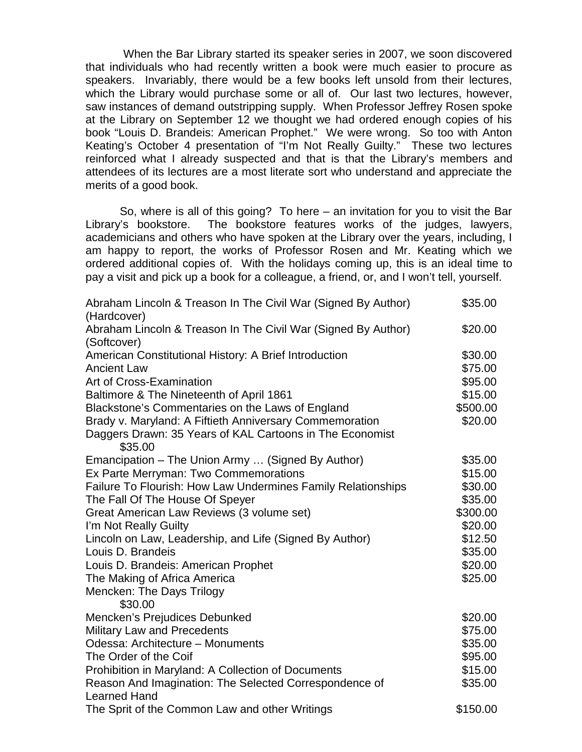When the Bar Library started its speaker series in 2007, we soon discovered that individuals who had recently written a book were much easier to procure as speakers. Invariably, there would be a few books left unsold from their lectures, which the Library would purchase some or all of. Our last two lectures, however, saw instances of demand outstripping supply. When Professor Jeffrey Rosen spoke at the Library on September 12 we thought we had ordered enough copies of his book "Louis D. Brandeis: American Prophet." We were wrong. So too with Anton Keating's October 4 presentation of "I'm Not Really Guilty." These two lectures reinforced what I already suspected and that is that the Library's members and attendees of its lectures are a most literate sort who understand and appreciate the merits of a good book.

So, where is all of this going? To here – an invitation for you to visit the Bar Library's bookstore. The bookstore features works of the judges, lawyers, academicians and others who have spoken at the Library over the years, including, I am happy to report, the works of Professor Rosen and Mr. Keating which we ordered additional copies of. With the holidays coming up, this is an ideal time to pay a visit and pick up a book for a colleague, a friend, or, and I won't tell, yourself.

| Abraham Lincoln & Treason In The Civil War (Signed By Author) | \$35.00  |
|---------------------------------------------------------------|----------|
| (Hardcover)                                                   |          |
| Abraham Lincoln & Treason In The Civil War (Signed By Author) | \$20.00  |
| (Softcover)                                                   |          |
| American Constitutional History: A Brief Introduction         | \$30.00  |
| <b>Ancient Law</b>                                            | \$75.00  |
| Art of Cross-Examination                                      | \$95.00  |
| Baltimore & The Nineteenth of April 1861                      | \$15.00  |
| Blackstone's Commentaries on the Laws of England              | \$500.00 |
| Brady v. Maryland: A Fiftieth Anniversary Commemoration       | \$20.00  |
| Daggers Drawn: 35 Years of KAL Cartoons in The Economist      |          |
| \$35.00                                                       |          |
| Emancipation – The Union Army  (Signed By Author)             | \$35.00  |
| Ex Parte Merryman: Two Commemorations                         | \$15.00  |
| Failure To Flourish: How Law Undermines Family Relationships  | \$30.00  |
| The Fall Of The House Of Speyer                               | \$35.00  |
| Great American Law Reviews (3 volume set)                     | \$300.00 |
| I'm Not Really Guilty                                         | \$20.00  |
| Lincoln on Law, Leadership, and Life (Signed By Author)       | \$12.50  |
| Louis D. Brandeis                                             | \$35.00  |
| Louis D. Brandeis: American Prophet                           | \$20.00  |
| The Making of Africa America                                  | \$25.00  |
| Mencken: The Days Trilogy                                     |          |
| \$30.00                                                       |          |
| Mencken's Prejudices Debunked                                 | \$20.00  |
| Military Law and Precedents                                   | \$75.00  |
| Odessa: Architecture - Monuments                              | \$35.00  |
| The Order of the Coif                                         | \$95.00  |
| Prohibition in Maryland: A Collection of Documents            | \$15.00  |
| Reason And Imagination: The Selected Correspondence of        | \$35.00  |
| <b>Learned Hand</b>                                           |          |
| The Sprit of the Common Law and other Writings                | \$150.00 |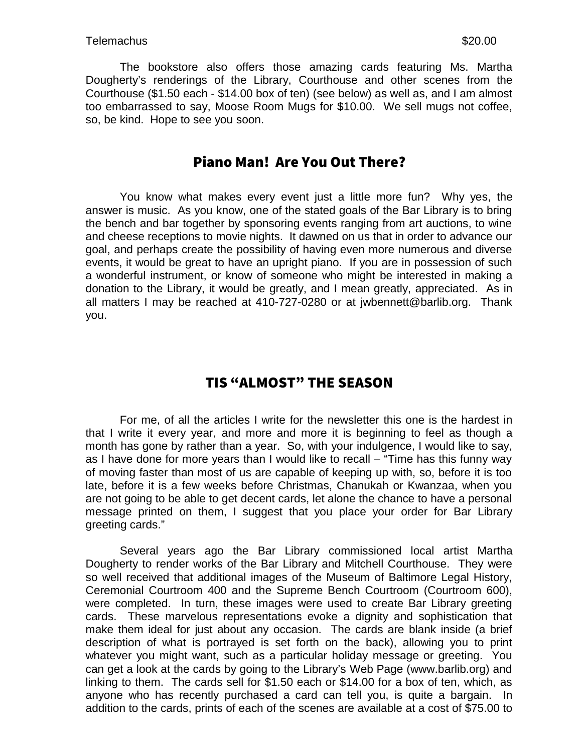The bookstore also offers those amazing cards featuring Ms. Martha Dougherty's renderings of the Library, Courthouse and other scenes from the Courthouse (\$1.50 each - \$14.00 box of ten) (see below) as well as, and I am almost too embarrassed to say, Moose Room Mugs for \$10.00. We sell mugs not coffee, so, be kind. Hope to see you soon.

## Piano Man! Are You Out There?

You know what makes every event just a little more fun? Why yes, the answer is music. As you know, one of the stated goals of the Bar Library is to bring the bench and bar together by sponsoring events ranging from art auctions, to wine and cheese receptions to movie nights. It dawned on us that in order to advance our goal, and perhaps create the possibility of having even more numerous and diverse events, it would be great to have an upright piano. If you are in possession of such a wonderful instrument, or know of someone who might be interested in making a donation to the Library, it would be greatly, and I mean greatly, appreciated. As in all matters I may be reached at 410-727-0280 or at jwbennett@barlib.org. Thank you.

# TIS "ALMOST" THE SEASON

For me, of all the articles I write for the newsletter this one is the hardest in that I write it every year, and more and more it is beginning to feel as though a month has gone by rather than a year. So, with your indulgence, I would like to say, as I have done for more years than I would like to recall – "Time has this funny way of moving faster than most of us are capable of keeping up with, so, before it is too late, before it is a few weeks before Christmas, Chanukah or Kwanzaa, when you are not going to be able to get decent cards, let alone the chance to have a personal message printed on them, I suggest that you place your order for Bar Library greeting cards."

Several years ago the Bar Library commissioned local artist Martha Dougherty to render works of the Bar Library and Mitchell Courthouse. They were so well received that additional images of the Museum of Baltimore Legal History, Ceremonial Courtroom 400 and the Supreme Bench Courtroom (Courtroom 600), were completed. In turn, these images were used to create Bar Library greeting cards. These marvelous representations evoke a dignity and sophistication that make them ideal for just about any occasion. The cards are blank inside (a brief description of what is portrayed is set forth on the back), allowing you to print whatever you might want, such as a particular holiday message or greeting. You can get a look at the cards by going to the Library's Web Page (www.barlib.org) and linking to them. The cards sell for \$1.50 each or \$14.00 for a box of ten, which, as anyone who has recently purchased a card can tell you, is quite a bargain. In addition to the cards, prints of each of the scenes are available at a cost of \$75.00 to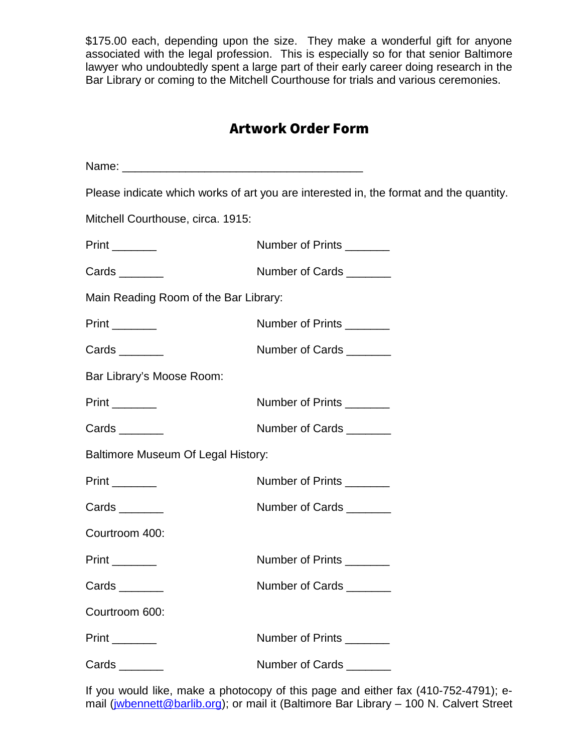\$175.00 each, depending upon the size. They make a wonderful gift for anyone associated with the legal profession. This is especially so for that senior Baltimore lawyer who undoubtedly spent a large part of their early career doing research in the Bar Library or coming to the Mitchell Courthouse for trials and various ceremonies.

# Artwork Order Form

|                                       | Please indicate which works of art you are interested in, the format and the quantity. |
|---------------------------------------|----------------------------------------------------------------------------------------|
| Mitchell Courthouse, circa. 1915:     |                                                                                        |
| $Print$ <sub>___________</sub>        | Number of Prints _______                                                               |
|                                       | Number of Cards ________                                                               |
| Main Reading Room of the Bar Library: |                                                                                        |
| $Print$ <sub>__________</sub>         | Number of Prints ________                                                              |
|                                       | Number of Cards ________                                                               |
| Bar Library's Moose Room:             |                                                                                        |
| Print                                 | Number of Prints                                                                       |
|                                       | Number of Cards _______                                                                |
| Baltimore Museum Of Legal History:    |                                                                                        |
| $Print$ <sub>__________</sub>         | Number of Prints                                                                       |
|                                       | Number of Cards                                                                        |
| Courtroom 400:                        |                                                                                        |
|                                       | Number of Prints ________                                                              |
|                                       | Number of Cards _______                                                                |
| Courtroom 600:                        |                                                                                        |
| $Print$ <sub>__________</sub>         | Number of Prints ________                                                              |
|                                       | Number of Cards ________                                                               |

If you would like, make a photocopy of this page and either fax (410-752-4791); e-mail [\(jwbennett@barlib.org\)](mailto:jwbennett@barlib.org); or mail it (Baltimore Bar Library – 100 N. Calvert Street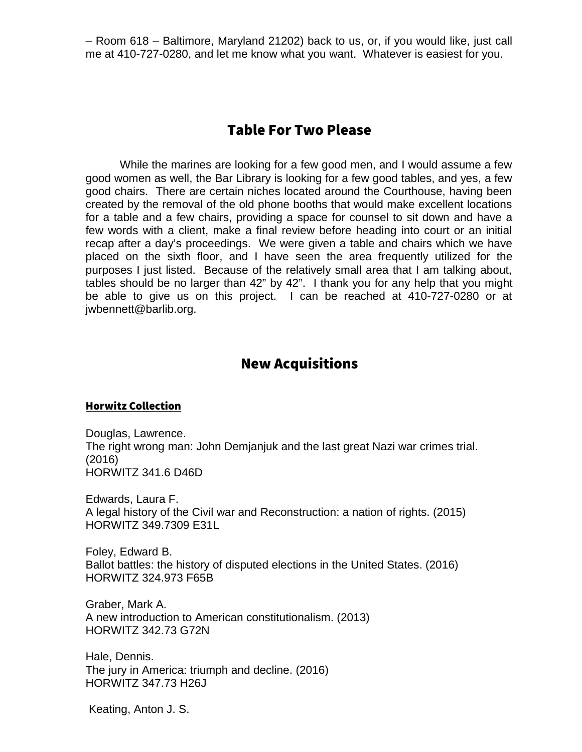– Room 618 – Baltimore, Maryland 21202) back to us, or, if you would like, just call me at 410-727-0280, and let me know what you want. Whatever is easiest for you.

## Table For Two Please

While the marines are looking for a few good men, and I would assume a few good women as well, the Bar Library is looking for a few good tables, and yes, a few good chairs. There are certain niches located around the Courthouse, having been created by the removal of the old phone booths that would make excellent locations for a table and a few chairs, providing a space for counsel to sit down and have a few words with a client, make a final review before heading into court or an initial recap after a day's proceedings. We were given a table and chairs which we have placed on the sixth floor, and I have seen the area frequently utilized for the purposes I just listed. Because of the relatively small area that I am talking about, tables should be no larger than 42" by 42". I thank you for any help that you might be able to give us on this project. I can be reached at 410-727-0280 or at jwbennett@barlib.org.

## New Acquisitions

### Horwitz Collection

Douglas, Lawrence. The right wrong man: John Demjanjuk and the last great Nazi war crimes trial. (2016) HORWITZ 341.6 D46D

Edwards, Laura F. A legal history of the Civil war and Reconstruction: a nation of rights. (2015) HORWITZ 349.7309 E31L

Foley, Edward B. Ballot battles: the history of disputed elections in the United States. (2016) HORWITZ 324.973 F65B

Graber, Mark A. A new introduction to American constitutionalism. (2013) HORWITZ 342.73 G72N

Hale, Dennis. The jury in America: triumph and decline. (2016) HORWITZ 347.73 H26J

Keating, Anton J. S.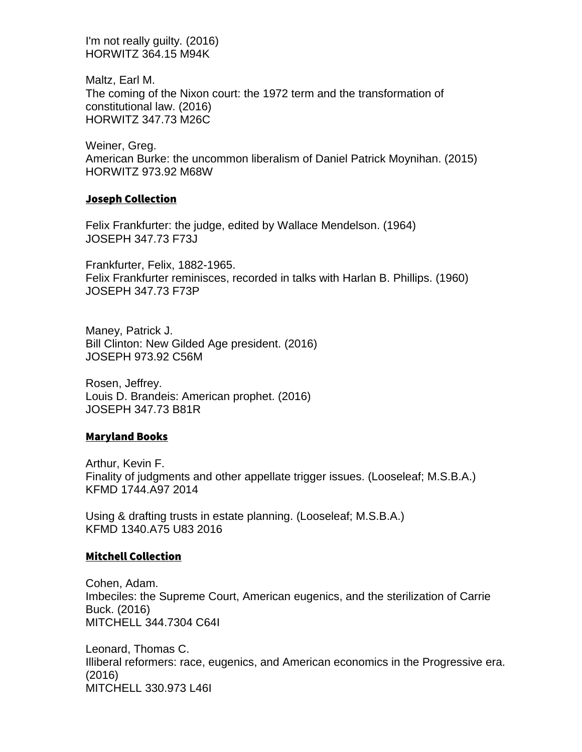I'm not really guilty. (2016) HORWITZ 364.15 M94K

Maltz, Earl M. The coming of the Nixon court: the 1972 term and the transformation of constitutional law. (2016) HORWITZ 347.73 M26C

Weiner, Greg. American Burke: the uncommon liberalism of Daniel Patrick Moynihan. (2015) HORWITZ 973.92 M68W

#### Joseph Collection

Felix Frankfurter: the judge, edited by Wallace Mendelson. (1964) JOSEPH 347.73 F73J

Frankfurter, Felix, 1882-1965. Felix Frankfurter reminisces, recorded in talks with Harlan B. Phillips. (1960) JOSEPH 347.73 F73P

Maney, Patrick J. Bill Clinton: New Gilded Age president. (2016) JOSEPH 973.92 C56M

Rosen, Jeffrey. Louis D. Brandeis: American prophet. (2016) JOSEPH 347.73 B81R

#### Maryland Books

Arthur, Kevin F. Finality of judgments and other appellate trigger issues. (Looseleaf; M.S.B.A.) KFMD 1744.A97 2014

Using & drafting trusts in estate planning. (Looseleaf; M.S.B.A.) KFMD 1340.A75 U83 2016

#### Mitchell Collection

Cohen, Adam. Imbeciles: the Supreme Court, American eugenics, and the sterilization of Carrie Buck. (2016) MITCHELL 344.7304 C64I

Leonard, Thomas C. Illiberal reformers: race, eugenics, and American economics in the Progressive era. (2016) MITCHELL 330.973 L46I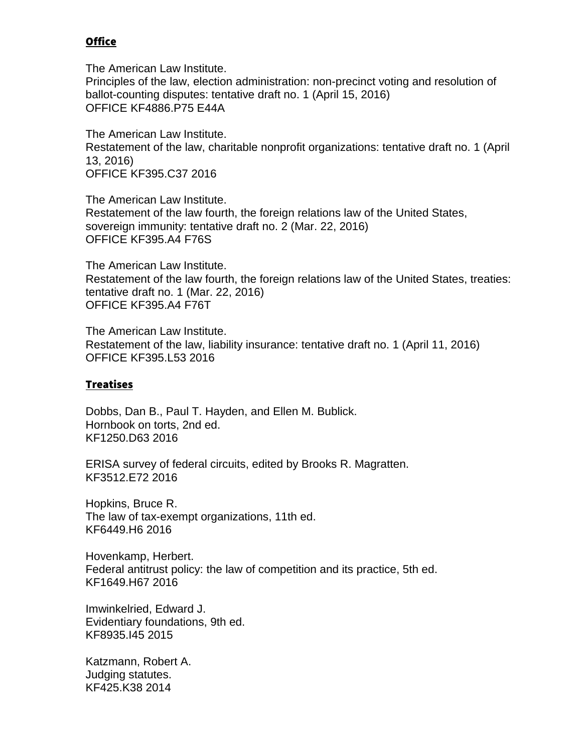### **Office**

The American Law Institute. Principles of the law, election administration: non-precinct voting and resolution of ballot-counting disputes: tentative draft no. 1 (April 15, 2016) OFFICE KF4886.P75 E44A

The American Law Institute. Restatement of the law, charitable nonprofit organizations: tentative draft no. 1 (April 13, 2016) OFFICE KF395.C37 2016

The American Law Institute. Restatement of the law fourth, the foreign relations law of the United States, sovereign immunity: tentative draft no. 2 (Mar. 22, 2016) OFFICE KF395.A4 F76S

The American Law Institute. Restatement of the law fourth, the foreign relations law of the United States, treaties: tentative draft no. 1 (Mar. 22, 2016) OFFICE KF395.A4 F76T

The American Law Institute. Restatement of the law, liability insurance: tentative draft no. 1 (April 11, 2016) OFFICE KF395.L53 2016

### Treatises

Dobbs, Dan B., Paul T. Hayden, and Ellen M. Bublick. Hornbook on torts, 2nd ed. KF1250.D63 2016

ERISA survey of federal circuits, edited by Brooks R. Magratten. KF3512.E72 2016

Hopkins, Bruce R. The law of tax-exempt organizations, 11th ed. KF6449.H6 2016

Hovenkamp, Herbert. Federal antitrust policy: the law of competition and its practice, 5th ed. KF1649.H67 2016

Imwinkelried, Edward J. Evidentiary foundations, 9th ed. KF8935.I45 2015

Katzmann, Robert A. Judging statutes. KF425.K38 2014